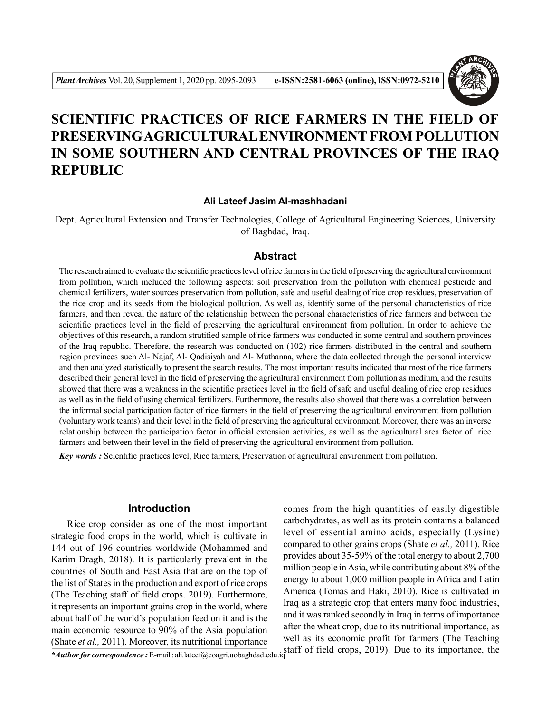

# **SCIENTIFIC PRACTICES OF RICE FARMERS IN THE FIELD OF PRESERVINGAGRICULTURAL ENVIRONMENT FROM POLLUTION IN SOME SOUTHERN AND CENTRAL PROVINCES OF THE IRAQ REPUBLIC**

#### **Ali Lateef Jasim Al-mashhadani**

Dept. Agricultural Extension and Transfer Technologies, College of Agricultural Engineering Sciences, University of Baghdad, Iraq.

#### **Abstract**

The research aimed to evaluate the scientific practices level of rice farmers in the field of preserving the agricultural environment from pollution, which included the following aspects: soil preservation from the pollution with chemical pesticide and chemical fertilizers, water sources preservation from pollution, safe and useful dealing of rice crop residues, preservation of the rice crop and its seeds from the biological pollution. As well as, identify some of the personal characteristics of rice farmers, and then reveal the nature of the relationship between the personal characteristics of rice farmers and between the scientific practices level in the field of preserving the agricultural environment from pollution. In order to achieve the objectives of this research, a random stratified sample of rice farmers was conducted in some central and southern provinces of the Iraq republic. Therefore, the research was conducted on (102) rice farmers distributed in the central and southern region provinces such Al- Najaf, Al- Qadisiyah and Al- Muthanna, where the data collected through the personal interview and then analyzed statistically to present the search results. The most important results indicated that most of the rice farmers described their general level in the field of preserving the agricultural environment from pollution as medium, and the results showed that there was a weakness in the scientific practices level in the field of safe and useful dealing of rice crop residues as well as in the field of using chemical fertilizers. Furthermore, the results also showed that there was a correlation between the informal social participation factor of rice farmers in the field of preserving the agricultural environment from pollution (voluntary work teams) and their level in the field of preserving the agricultural environment. Moreover, there was an inverse relationship between the participation factor in official extension activities, as well as the agricultural area factor of rice farmers and between their level in the field of preserving the agricultural environment from pollution.

*Key words :* Scientific practices level, Rice farmers, Preservation of agricultural environment from pollution.

#### **Introduction**

Rice crop consider as one of the most important strategic food crops in the world, which is cultivate in 144 out of 196 countries worldwide (Mohammed and Karim Dragh, 2018). It is particularly prevalent in the countries of South and East Asia that are on the top of the list of States in the production and export of rice crops (The Teaching staff of field crops. 2019). Furthermore, it represents an important grains crop in the world, where about half of the world's population feed on it and is the main economic resource to 90% of the Asia population (Shate *et al.,* 2011). Moreover, its nutritional importance

<sup>\*</sup>Author for correspondence : E-mail : ali.lateef@coagri.uobaghdad.edu.iq staff of field crops, 2019). Due to its importance, the comes from the high quantities of easily digestible carbohydrates, as well as its protein contains a balanced level of essential amino acids, especially (Lysine) compared to other grains crops (Shate *et al.,* 2011). Rice provides about 35-59% of the total energy to about 2,700 million people in Asia, while contributing about 8% of the energy to about 1,000 million people in Africa and Latin America (Tomas and Haki, 2010). Rice is cultivated in Iraq as a strategic crop that enters many food industries, and it was ranked secondly in Iraq in terms of importance after the wheat crop, due to its nutritional importance, as well as its economic profit for farmers (The Teaching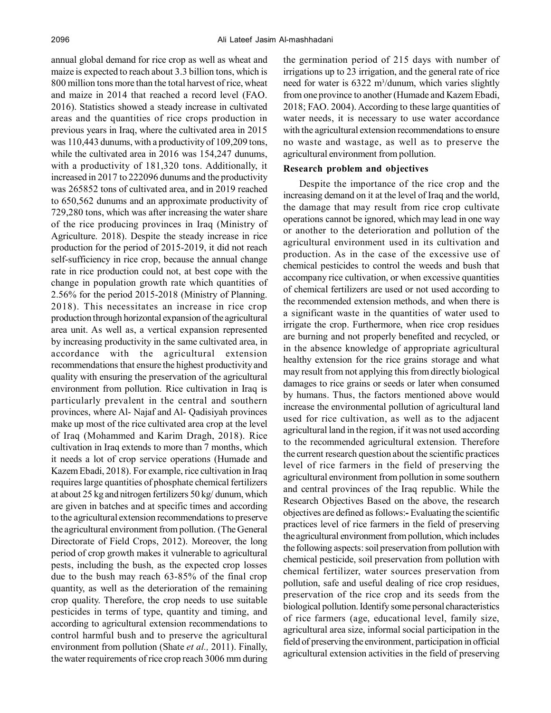annual global demand for rice crop as well as wheat and maize is expected to reach about 3.3 billion tons, which is 800 million tons more than the total harvest of rice, wheat and maize in 2014 that reached a record level (FAO. 2016). Statistics showed a steady increase in cultivated areas and the quantities of rice crops production in previous years in Iraq, where the cultivated area in 2015 was 110,443 dunums, with a productivity of 109,209 tons, while the cultivated area in 2016 was 154,247 dunums, with a productivity of 181,320 tons. Additionally, it increased in 2017 to 222096 dunums and the productivity was 265852 tons of cultivated area, and in 2019 reached to 650,562 dunums and an approximate productivity of 729,280 tons, which was after increasing the water share of the rice producing provinces in Iraq (Ministry of Agriculture. 2018). Despite the steady increase in rice production for the period of 2015-2019, it did not reach self-sufficiency in rice crop, because the annual change rate in rice production could not, at best cope with the change in population growth rate which quantities of 2.56% for the period 2015-2018 (Ministry of Planning. 2018). This necessitates an increase in rice crop production through horizontal expansion of the agricultural area unit. As well as, a vertical expansion represented by increasing productivity in the same cultivated area, in accordance with the agricultural extension recommendations that ensure the highest productivity and quality with ensuring the preservation of the agricultural environment from pollution. Rice cultivation in Iraq is particularly prevalent in the central and southern provinces, where Al- Najaf and Al- Qadisiyah provinces make up most of the rice cultivated area crop at the level of Iraq (Mohammed and Karim Dragh, 2018). Rice cultivation in Iraq extends to more than 7 months, which it needs a lot of crop service operations (Humade and Kazem Ebadi, 2018). For example, rice cultivation in Iraq requires large quantities of phosphate chemical fertilizers at about 25 kg and nitrogen fertilizers 50 kg/ dunum, which are given in batches and at specific times and according to the agricultural extension recommendations to preserve the agricultural environment from pollution. (The General Directorate of Field Crops, 2012). Moreover, the long period of crop growth makes it vulnerable to agricultural pests, including the bush, as the expected crop losses due to the bush may reach 63-85% of the final crop quantity, as well as the deterioration of the remaining crop quality. Therefore, the crop needs to use suitable pesticides in terms of type, quantity and timing, and according to agricultural extension recommendations to control harmful bush and to preserve the agricultural environment from pollution (Shate *et al.,* 2011). Finally, the water requirements of rice crop reach 3006 mm during

the germination period of 215 days with number of irrigations up to 23 irrigation, and the general rate of rice need for water is 6322 m<sup>3</sup>/dunum, which varies slightly from one province to another (Humade and Kazem Ebadi, 2018; FAO. 2004). According to these large quantities of water needs, it is necessary to use water accordance with the agricultural extension recommendations to ensure no waste and wastage, as well as to preserve the agricultural environment from pollution.

#### **Research problem and objectives**

Despite the importance of the rice crop and the increasing demand on it at the level of Iraq and the world, the damage that may result from rice crop cultivate operations cannot be ignored, which may lead in one way or another to the deterioration and pollution of the agricultural environment used in its cultivation and production. As in the case of the excessive use of chemical pesticides to control the weeds and bush that accompany rice cultivation, or when excessive quantities of chemical fertilizers are used or not used according to the recommended extension methods, and when there is a significant waste in the quantities of water used to irrigate the crop. Furthermore, when rice crop residues are burning and not properly benefited and recycled, or in the absence knowledge of appropriate agricultural healthy extension for the rice grains storage and what may result from not applying this from directly biological damages to rice grains or seeds or later when consumed by humans. Thus, the factors mentioned above would increase the environmental pollution of agricultural land used for rice cultivation, as well as to the adjacent agricultural land in the region, if it was not used according to the recommended agricultural extension. Therefore the current research question about the scientific practices level of rice farmers in the field of preserving the agricultural environment from pollution in some southern and central provinces of the Iraq republic. While the Research Objectives Based on the above, the research objectives are defined as follows:**-** Evaluating the scientific practices level of rice farmers in the field of preserving the agricultural environment from pollution, which includes the following aspects: soil preservation from pollution with chemical pesticide, soil preservation from pollution with chemical fertilizer, water sources preservation from pollution, safe and useful dealing of rice crop residues, preservation of the rice crop and its seeds from the biological pollution. Identify some personal characteristics of rice farmers (age, educational level, family size, agricultural area size, informal social participation in the field of preserving the environment, participation in official agricultural extension activities in the field of preserving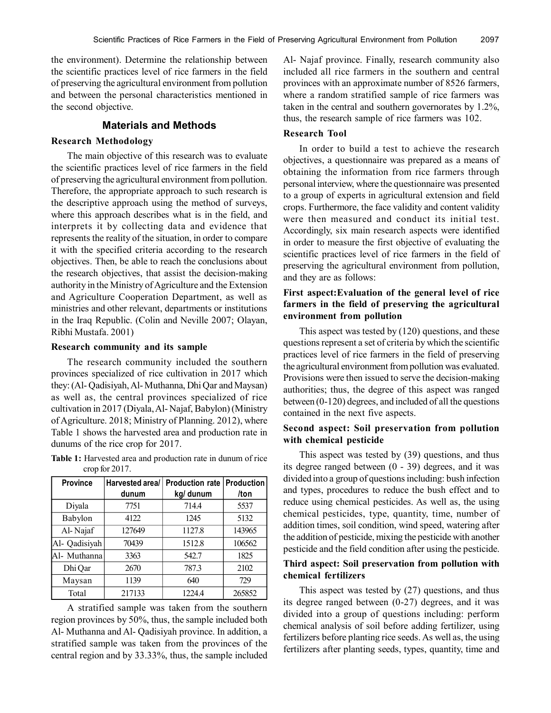the environment). Determine the relationship between the scientific practices level of rice farmers in the field of preserving the agricultural environment from pollution and between the personal characteristics mentioned in the second objective.

#### **Materials and Methods**

#### **Research Methodology**

The main objective of this research was to evaluate the scientific practices level of rice farmers in the field of preserving the agricultural environment from pollution. Therefore, the appropriate approach to such research is the descriptive approach using the method of surveys, where this approach describes what is in the field, and interprets it by collecting data and evidence that represents the reality of the situation, in order to compare it with the specified criteria according to the research objectives. Then, be able to reach the conclusions about the research objectives, that assist the decision-making authority in the Ministry of Agriculture and the Extension and Agriculture Cooperation Department, as well as ministries and other relevant, departments or institutions in the Iraq Republic. (Colin and Neville 2007; Olayan, Ribhi Mustafa. 2001)

#### **Research community and its sample**

The research community included the southern provinces specialized of rice cultivation in 2017 which they: (Al- Qadisiyah, Al- Muthanna, Dhi Qar and Maysan) as well as, the central provinces specialized of rice cultivation in 2017 (Diyala, Al- Najaf, Babylon) (Ministry of Agriculture. 2018; Ministry of Planning. 2012), where Table 1 shows the harvested area and production rate in dunums of the rice crop for 2017.

**Table 1:** Harvested area and production rate in dunum of rice crop for 2017.

| <b>Province</b> | Harvested area/ | <b>Production rate</b> | <b>Production</b> |
|-----------------|-----------------|------------------------|-------------------|
|                 | dunum           | kg/ dunum              | /ton              |
| Diyala          | 7751            | 714.4                  | 5537              |
| Babylon         | 4122            | 1245                   | 5132              |
| Al-Najaf        | 127649          | 1127.8                 | 143965            |
| Al- Qadisiyah   | 70439           | 1512.8                 | 106562            |
| Al- Muthanna    | 3363            | 542.7                  | 1825              |
| Dhi Qar         | 2670            | 787.3                  | 2102              |
| Maysan          | 1139            | 640                    | 729               |
| Total           | 217133          | 1224.4                 | 265852            |

A stratified sample was taken from the southern region provinces by 50%, thus, the sample included both Al- Muthanna and Al- Qadisiyah province. In addition, a stratified sample was taken from the provinces of the central region and by 33.33%, thus, the sample included Al- Najaf province. Finally, research community also included all rice farmers in the southern and central provinces with an approximate number of 8526 farmers, where a random stratified sample of rice farmers was taken in the central and southern governorates by 1.2%, thus, the research sample of rice farmers was 102.

## **Research Tool**

In order to build a test to achieve the research objectives, a questionnaire was prepared as a means of obtaining the information from rice farmers through personal interview, where the questionnaire was presented to a group of experts in agricultural extension and field crops. Furthermore, the face validity and content validity were then measured and conduct its initial test. Accordingly, six main research aspects were identified in order to measure the first objective of evaluating the scientific practices level of rice farmers in the field of preserving the agricultural environment from pollution, and they are as follows:

# **First aspect:Evaluation of the general level of rice farmers in the field of preserving the agricultural environment from pollution**

This aspect was tested by (120) questions, and these questions represent a set of criteria by which the scientific practices level of rice farmers in the field of preserving the agricultural environment from pollution was evaluated. Provisions were then issued to serve the decision-making authorities; thus, the degree of this aspect was ranged between (0-120) degrees, and included of all the questions contained in the next five aspects.

#### **Second aspect: Soil preservation from pollution with chemical pesticide**

This aspect was tested by (39) questions, and thus its degree ranged between (0 - 39) degrees, and it was divided into a group of questions including: bush infection and types, procedures to reduce the bush effect and to reduce using chemical pesticides. As well as, the using chemical pesticides, type, quantity, time, number of addition times, soil condition, wind speed, watering after the addition of pesticide, mixing the pesticide with another pesticide and the field condition after using the pesticide.

## **Third aspect: Soil preservation from pollution with chemical fertilizers**

This aspect was tested by (27) questions, and thus its degree ranged between (0-27) degrees, and it was divided into a group of questions including: perform chemical analysis of soil before adding fertilizer, using fertilizers before planting rice seeds. As well as, the using fertilizers after planting seeds, types, quantity, time and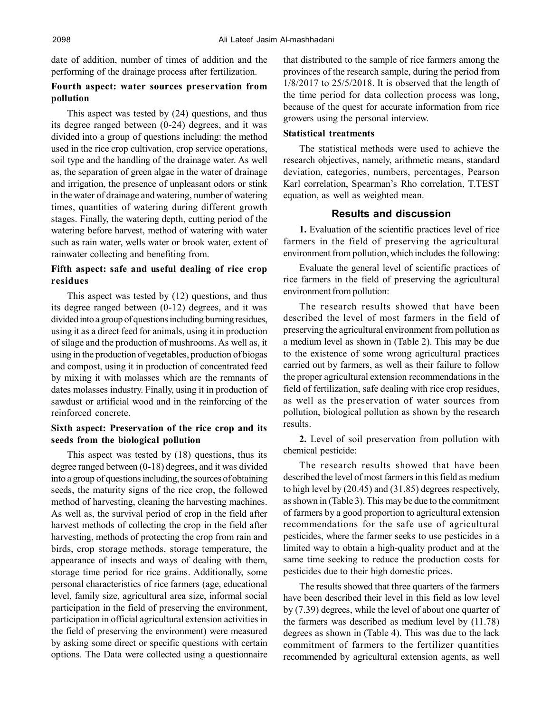date of addition, number of times of addition and the performing of the drainage process after fertilization.

## **Fourth aspect: water sources preservation from pollution**

This aspect was tested by (24) questions, and thus its degree ranged between (0-24) degrees, and it was divided into a group of questions including: the method used in the rice crop cultivation, crop service operations, soil type and the handling of the drainage water. As well as, the separation of green algae in the water of drainage and irrigation, the presence of unpleasant odors or stink in the water of drainage and watering, number of watering times, quantities of watering during different growth stages. Finally, the watering depth, cutting period of the watering before harvest, method of watering with water such as rain water, wells water or brook water, extent of rainwater collecting and benefiting from.

# **Fifth aspect: safe and useful dealing of rice crop residues**

This aspect was tested by (12) questions, and thus its degree ranged between (0-12) degrees, and it was divided into a group of questions including burning residues, using it as a direct feed for animals, using it in production of silage and the production of mushrooms. As well as, it using in the production of vegetables, production of biogas and compost, using it in production of concentrated feed by mixing it with molasses which are the remnants of dates molasses industry. Finally, using it in production of sawdust or artificial wood and in the reinforcing of the reinforced concrete.

## **Sixth aspect: Preservation of the rice crop and its seeds from the biological pollution**

This aspect was tested by (18) questions, thus its degree ranged between (0-18) degrees, and it was divided into a group of questions including, the sources of obtaining seeds, the maturity signs of the rice crop, the followed method of harvesting, cleaning the harvesting machines. As well as, the survival period of crop in the field after harvest methods of collecting the crop in the field after harvesting, methods of protecting the crop from rain and birds, crop storage methods, storage temperature, the appearance of insects and ways of dealing with them, storage time period for rice grains. Additionally, some personal characteristics of rice farmers (age, educational level, family size, agricultural area size, informal social participation in the field of preserving the environment, participation in official agricultural extension activities in the field of preserving the environment) were measured by asking some direct or specific questions with certain options. The Data were collected using a questionnaire that distributed to the sample of rice farmers among the provinces of the research sample, during the period from 1/8/2017 to 25/5/2018. It is observed that the length of the time period for data collection process was long, because of the quest for accurate information from rice growers using the personal interview.

## **Statistical treatments**

The statistical methods were used to achieve the research objectives, namely, arithmetic means, standard deviation, categories, numbers, percentages, Pearson Karl correlation, Spearman's Rho correlation, T.TEST equation, as well as weighted mean.

## **Results and discussion**

**1.** Evaluation of the scientific practices level of rice farmers in the field of preserving the agricultural environment from pollution, which includes the following:

Evaluate the general level of scientific practices of rice farmers in the field of preserving the agricultural environment from pollution:

The research results showed that have been described the level of most farmers in the field of preserving the agricultural environment from pollution as a medium level as shown in (Table 2). This may be due to the existence of some wrong agricultural practices carried out by farmers, as well as their failure to follow the proper agricultural extension recommendations in the field of fertilization, safe dealing with rice crop residues, as well as the preservation of water sources from pollution, biological pollution as shown by the research results.

**2.** Level of soil preservation from pollution with chemical pesticide:

The research results showed that have been described the level of most farmers in this field as medium to high level by (20.45) and (31.85) degrees respectively, as shown in (Table 3). This may be due to the commitment of farmers by a good proportion to agricultural extension recommendations for the safe use of agricultural pesticides, where the farmer seeks to use pesticides in a limited way to obtain a high-quality product and at the same time seeking to reduce the production costs for pesticides due to their high domestic prices.

The results showed that three quarters of the farmers have been described their level in this field as low level by (7.39) degrees, while the level of about one quarter of the farmers was described as medium level by (11.78) degrees as shown in (Table 4). This was due to the lack commitment of farmers to the fertilizer quantities recommended by agricultural extension agents, as well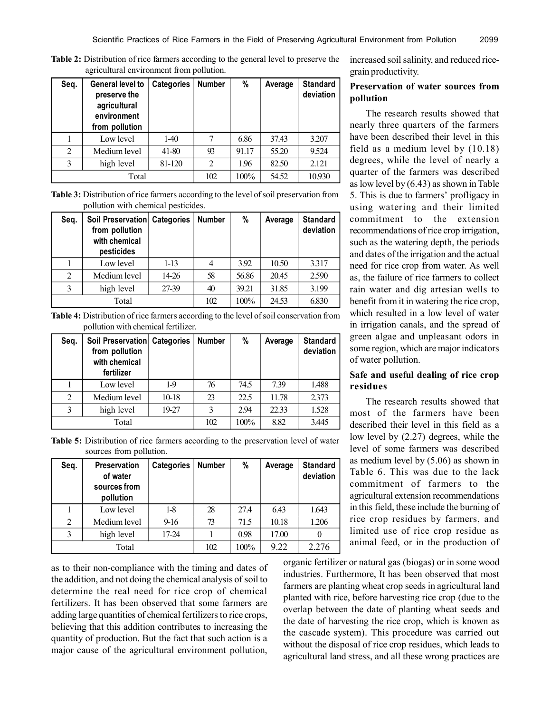**Table 2:** Distribution of rice farmers according to the general level to preserve the agricultural environment from pollution.

| Seq.           | General level to<br>preserve the<br>agricultural<br>environment<br>from pollution | <b>Categories</b> | <b>Number</b> | %     | Average | <b>Standard</b><br>deviation |
|----------------|-----------------------------------------------------------------------------------|-------------------|---------------|-------|---------|------------------------------|
|                | Low level                                                                         | $1-40$            |               | 6.86  | 37.43   | 3.207                        |
| $\overline{2}$ | Medium level                                                                      | 41-80             | 93            | 91.17 | 55.20   | 9.524                        |
| 3              | high level                                                                        | 81-120            | 2             | 1.96  | 82.50   | 2.121                        |
|                | Total                                                                             |                   | 102           | 100%  | 54.52   | 10.930                       |

**Table 3:** Distribution of rice farmers according to the level of soil preservation from pollution with chemical pesticides.

| Seq. | Soil Preservation Categories<br>from pollution<br>with chemical<br>pesticides |         | <b>Number</b> | %     | Average | <b>Standard</b><br>deviation |
|------|-------------------------------------------------------------------------------|---------|---------------|-------|---------|------------------------------|
|      | Low level                                                                     | $1-13$  |               | 3.92  | 10.50   | 3.317                        |
| 2    | Medium level                                                                  | $14-26$ | 58            | 56.86 | 20.45   | 2.590                        |
| 3    | high level                                                                    | 27-39   | 40            | 39.21 | 31.85   | 3.199                        |
|      | Total                                                                         |         | 102           | 100%  | 24.53   | 6.830                        |

**Table 4:** Distribution of rice farmers according to the level of soil conservation from pollution with chemical fertilizer.

| Seq.           | Soil Preservation Categories<br>from pollution<br>with chemical<br>fertilizer |         | <b>Number</b> | %    | Average | <b>Standard</b><br>deviation |
|----------------|-------------------------------------------------------------------------------|---------|---------------|------|---------|------------------------------|
|                | Low level                                                                     | $1-9$   | 76            | 74.5 | 7.39    | 1.488                        |
| $\overline{2}$ | Medium level                                                                  | $10-18$ | 23            | 22.5 | 11.78   | 2.373                        |
| 3              | high level                                                                    | 19-27   | 3             | 2.94 | 22.33   | 1.528                        |
|                | Total                                                                         |         | 102           | 100% | 8.82    | 3.445                        |

**Table 5:** Distribution of rice farmers according to the preservation level of water sources from pollution.

| Seq. | <b>Preservation</b><br>of water<br>sources from<br>pollution | <b>Categories</b> | <b>Number</b> | %    | Average | <b>Standard</b><br>deviation |
|------|--------------------------------------------------------------|-------------------|---------------|------|---------|------------------------------|
|      | Low level                                                    | $1-8$             | 28            | 27.4 | 6.43    | 1.643                        |
| 2    | Medium level                                                 | $9-16$            | 73            | 71.5 | 10.18   | 1.206                        |
| 3    | high level                                                   | 17-24             |               | 0.98 | 17.00   |                              |
|      | Total                                                        |                   | 102           | 100% | 9.22    | 2.276                        |

as to their non-compliance with the timing and dates of the addition, and not doing the chemical analysis of soil to determine the real need for rice crop of chemical fertilizers. It has been observed that some farmers are adding large quantities of chemical fertilizers to rice crops, believing that this addition contributes to increasing the quantity of production. But the fact that such action is a major cause of the agricultural environment pollution,

increased soil salinity, and reduced ricegrain productivity.

## **Preservation of water sources from pollution**

The research results showed that nearly three quarters of the farmers have been described their level in this field as a medium level by (10.18) degrees, while the level of nearly a quarter of the farmers was described as low level by (6.43) as shown in Table 5. This is due to farmers' profligacy in using watering and their limited commitment to the extension recommendations of rice crop irrigation, such as the watering depth, the periods and dates of the irrigation and the actual need for rice crop from water. As well as, the failure of rice farmers to collect rain water and dig artesian wells to benefit from it in watering the rice crop, which resulted in a low level of water in irrigation canals, and the spread of green algae and unpleasant odors in some region, which are major indicators of water pollution.

## **Safe and useful dealing of rice crop residues**

The research results showed that most of the farmers have been described their level in this field as a low level by (2.27) degrees, while the level of some farmers was described as medium level by (5.06) as shown in Table 6. This was due to the lack commitment of farmers to the agricultural extension recommendations in this field, these include the burning of rice crop residues by farmers, and limited use of rice crop residue as animal feed, or in the production of

organic fertilizer or natural gas (biogas) or in some wood industries. Furthermore, It has been observed that most farmers are planting wheat crop seeds in agricultural land planted with rice, before harvesting rice crop (due to the overlap between the date of planting wheat seeds and the date of harvesting the rice crop, which is known as the cascade system). This procedure was carried out without the disposal of rice crop residues, which leads to agricultural land stress, and all these wrong practices are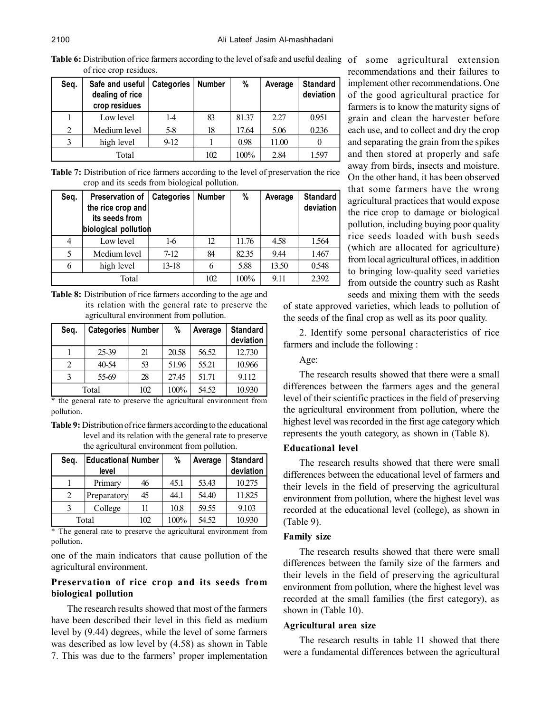Table 6: Distribution of rice farmers according to the level of safe and useful dealing of some agricultural extension of rice crop residues.

| Seg.           | Safe and useful   Categories<br>dealing of rice<br>crop residues |       | <b>Number</b> | %     | Average | <b>Standard</b><br>deviation |
|----------------|------------------------------------------------------------------|-------|---------------|-------|---------|------------------------------|
|                | Low level                                                        | $1-4$ | 83            | 81.37 | 2.27    | 0.951                        |
| $\overline{2}$ | Medium level                                                     | 5-8   | 18            | 17.64 | 5.06    | 0.236                        |
| $\mathbf{3}$   | high level                                                       | 9-12  |               | 0.98  | 11.00   |                              |
|                | Total                                                            |       | 102           | 100%  | 2.84    | 1.597                        |

**Table 7:** Distribution of rice farmers according to the level of preservation the rice crop and its seeds from biological pollution.

| Seq. | Preservation of<br>the rice crop and<br>its seeds from<br>biological pollution | <b>Categories</b> | <b>Number</b> | %     | Average | <b>Standard</b><br>deviation |
|------|--------------------------------------------------------------------------------|-------------------|---------------|-------|---------|------------------------------|
| 4    | Low level                                                                      | 1-6               | 12            | 11.76 | 4.58    | 1.564                        |
| 5    | Medium level                                                                   | $7-12$            | 84            | 82.35 | 9.44    | 1.467                        |
| 6    | high level                                                                     | $13-18$           |               | 5.88  | 13.50   | 0.548                        |
|      | Total                                                                          |                   | 102           | 100%  | 9.11    | 2.392                        |

**Table 8:** Distribution of rice farmers according to the age and its relation with the general rate to preserve the agricultural environment from pollution.

| Seq. | Categories   Number |     | %     | Average | <b>Standard</b><br>deviation |
|------|---------------------|-----|-------|---------|------------------------------|
|      | 25-39               | 21  | 20.58 | 56.52   | 12.730                       |
| 2    | 40-54               | 53  | 51.96 | 55.21   | 10.966                       |
|      | 55-69               | 28  | 27.45 | 51.71   | 9.112                        |
|      | Total               | 102 | 100%  | 54.52   | 10.930                       |

\* the general rate to preserve the agricultural environment from pollution.

**Table 9:** Distribution of rice farmers according to the educational level and its relation with the general rate to preserve the agricultural environment from pollution.

| Seq. | <b>Educational Number</b> |     | %    | Average | <b>Standard</b> |
|------|---------------------------|-----|------|---------|-----------------|
|      | level                     |     |      |         | deviation       |
|      | Primary                   | 46  | 45.1 | 53.43   | 10.275          |
| 2    | Preparatory               | 45  | 44.1 | 54.40   | 11.825          |
| 3    | College                   | 11  | 10.8 | 59.55   | 9.103           |
|      | Total                     | 102 | 100% | 54.52   | 10.930          |

\* The general rate to preserve the agricultural environment from pollution.

one of the main indicators that cause pollution of the agricultural environment.

# **Preservation of rice crop and its seeds from biological pollution**

The research results showed that most of the farmers have been described their level in this field as medium level by (9.44) degrees, while the level of some farmers was described as low level by (4.58) as shown in Table 7. This was due to the farmers' proper implementation

recommendations and their failures to implement other recommendations. One of the good agricultural practice for farmers is to know the maturity signs of grain and clean the harvester before each use, and to collect and dry the crop and separating the grain from the spikes and then stored at properly and safe away from birds, insects and moisture. On the other hand, it has been observed that some farmers have the wrong agricultural practices that would expose the rice crop to damage or biological pollution, including buying poor quality rice seeds loaded with bush seeds (which are allocated for agriculture) from local agricultural offices, in addition to bringing low-quality seed varieties from outside the country such as Rasht seeds and mixing them with the seeds

of state approved varieties, which leads to pollution of the seeds of the final crop as well as its poor quality.

2. Identify some personal characteristics of rice farmers and include the following :

Age:

The research results showed that there were a small differences between the farmers ages and the general level of their scientific practices in the field of preserving the agricultural environment from pollution, where the highest level was recorded in the first age category which represents the youth category, as shown in (Table 8).

#### **Educational level**

The research results showed that there were small differences between the educational level of farmers and their levels in the field of preserving the agricultural environment from pollution, where the highest level was recorded at the educational level (college), as shown in (Table 9).

#### **Family size**

The research results showed that there were small differences between the family size of the farmers and their levels in the field of preserving the agricultural environment from pollution, where the highest level was recorded at the small families (the first category), as shown in (Table 10).

#### **Agricultural area size**

The research results in table 11 showed that there were a fundamental differences between the agricultural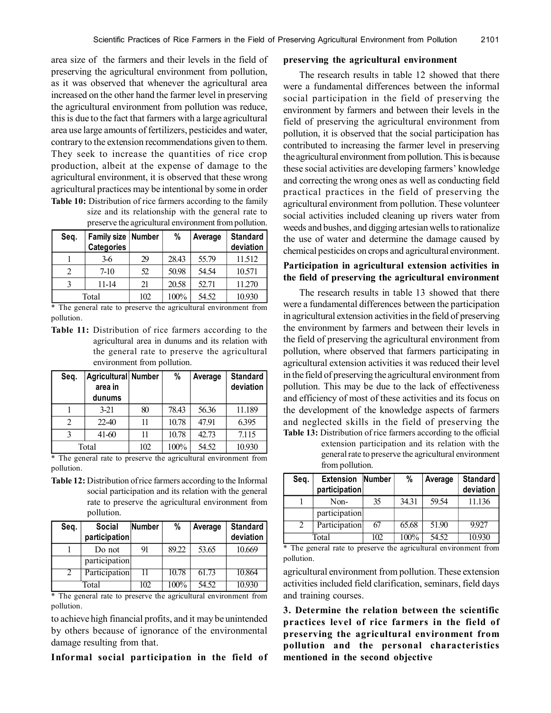area size of the farmers and their levels in the field of preserving the agricultural environment from pollution, as it was observed that whenever the agricultural area increased on the other hand the farmer level in preserving the agricultural environment from pollution was reduce, this is due to the fact that farmers with a large agricultural area use large amounts of fertilizers, pesticides and water, contrary to the extension recommendations given to them. They seek to increase the quantities of rice crop production, albeit at the expense of damage to the agricultural environment, it is observed that these wrong agricultural practices may be intentional by some in order **Table 10:** Distribution of rice farmers according to the family

size and its relationship with the general rate to preserve the agricultural environment from pollution.

| Seg. | Family size Number<br><b>Categories</b> |     | %     | Average | <b>Standard</b><br>deviation |
|------|-----------------------------------------|-----|-------|---------|------------------------------|
|      | 3-6                                     | 29  | 28.43 | 55.79   | 11.512                       |
| 2    | $7-10$                                  | 52  | 50.98 | 54.54   | 10.571                       |
| 3    | 11-14                                   | 21  | 20.58 | 52.71   | 11.270                       |
|      | Total                                   | 102 | 100%  | 54.52   | 10.930                       |

\* The general rate to preserve the agricultural environment from pollution.

**Table 11:** Distribution of rice farmers according to the agricultural area in dunums and its relation with the general rate to preserve the agricultural environment from pollution.

| Seq. | Agricultural Number |     | %     | Average | <b>Standard</b> |
|------|---------------------|-----|-------|---------|-----------------|
|      | area in             |     |       |         | deviation       |
|      | dunums              |     |       |         |                 |
|      | $3-21$              | 80  | 78.43 | 56.36   | 11.189          |
| 2    | 22-40               | 11  | 10.78 | 47.91   | 6.395           |
| 3    | $41 - 60$           | 11  | 10.78 | 42.73   | 7.115           |
|      | Total               | 102 | 100%  | 54.52   | 10.930          |

\* The general rate to preserve the agricultural environment from pollution.

**Table 12:** Distribution of rice farmers according to the Informal social participation and its relation with the general rate to preserve the agricultural environment from pollution.

| Seq. | <b>Social</b> | Number | %     | Average | <b>Standard</b> |
|------|---------------|--------|-------|---------|-----------------|
|      | participation |        |       |         | deviation       |
|      | Do not        | 91     | 89.22 | 53.65   | 10.669          |
|      | participation |        |       |         |                 |
| 2    | Participation | 11     | 10.78 | 61.73   | 10.864          |
|      | Total         | 102    | 100%  | 54.52   | 10.930          |

\* The general rate to preserve the agricultural environment from pollution.

to achieve high financial profits, and it may be unintended by others because of ignorance of the environmental damage resulting from that.

**Informal social participation in the field of**

#### **preserving the agricultural environment**

The research results in table 12 showed that there were a fundamental differences between the informal social participation in the field of preserving the environment by farmers and between their levels in the field of preserving the agricultural environment from pollution, it is observed that the social participation has contributed to increasing the farmer level in preserving the agricultural environment from pollution. This is because these social activities are developing farmers' knowledge and correcting the wrong ones as well as conducting field practical practices in the field of preserving the agricultural environment from pollution. These volunteer social activities included cleaning up rivers water from weeds and bushes, and digging artesian wells to rationalize the use of water and determine the damage caused by chemical pesticides on crops and agricultural environment.

# **Participation in agricultural extension activities in the field of preserving the agricultural environment**

The research results in table 13 showed that there were a fundamental differences between the participation in agricultural extension activities in the field of preserving the environment by farmers and between their levels in the field of preserving the agricultural environment from pollution, where observed that farmers participating in agricultural extension activities it was reduced their level in the field of preserving the agricultural environment from pollution. This may be due to the lack of effectiveness and efficiency of most of these activities and its focus on the development of the knowledge aspects of farmers and neglected skills in the field of preserving the **Table 13:** Distribution of rice farmers according to the official

> extension participation and its relation with the general rate to preserve the agricultural environment from pollution.

| Seq.  | <b>Extension</b><br>participation | <b>Number</b> | %     | Average | <b>Standard</b><br>deviation |
|-------|-----------------------------------|---------------|-------|---------|------------------------------|
|       | Non-                              | 35            | 34.31 | 59.54   | 11.136                       |
|       | participation                     |               |       |         |                              |
| 2     | Participation                     | 67            | 65.68 | 51.90   | 9.927                        |
| Total |                                   | 102           | 100%  | 54.52   | 10.930                       |

\* The general rate to preserve the agricultural environment from pollution.

agricultural environment from pollution. These extension activities included field clarification, seminars, field days and training courses.

**3. Determine the relation between the scientific practices level of rice farmers in the field of preserving the agricultural environment from pollution and the personal characteristics mentioned in the second objective**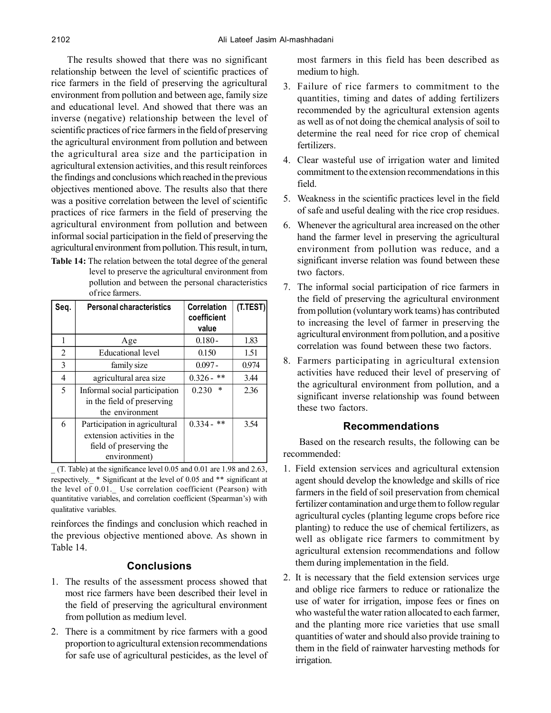The results showed that there was no significant relationship between the level of scientific practices of rice farmers in the field of preserving the agricultural environment from pollution and between age, family size and educational level. And showed that there was an inverse (negative) relationship between the level of scientific practices of rice farmers in the field of preserving the agricultural environment from pollution and between the agricultural area size and the participation in agricultural extension activities, and this result reinforces the findings and conclusions which reached in the previous objectives mentioned above. The results also that there was a positive correlation between the level of scientific practices of rice farmers in the field of preserving the agricultural environment from pollution and between informal social participation in the field of preserving the agricultural environment from pollution. This result, in turn,

**Table 14:** The relation between the total degree of the general level to preserve the agricultural environment from pollution and between the personal characteristics of rice farmers.

| Seq. | <b>Personal characteristics</b>                                        | Correlation<br>coefficient<br>value | (T.TEST) |
|------|------------------------------------------------------------------------|-------------------------------------|----------|
|      | Age                                                                    | $0.180 -$                           | 1.83     |
| 2    | Educational level                                                      | 0.150                               | 1.51     |
| 3    | family size                                                            | $0.097 -$                           | 0.974    |
| 4    | agricultural area size                                                 | $0.326 -$ **                        | 3.44     |
| 5    | Informal social participation<br>in the field of preserving            | $\ast$<br>0.230                     | 2.36     |
| 6    | the environment<br>Participation in agricultural                       | $0.334 -$ **                        | 3.54     |
|      | extension activities in the<br>field of preserving the<br>environment) |                                     |          |

\_ (T. Table) at the significance level 0.05 and 0.01 are 1.98 and 2.63, respectively.\_ \* Significant at the level of 0.05 and \*\* significant at the level of 0.01. Use correlation coefficient (Pearson) with quantitative variables, and correlation coefficient (Spearman's) with qualitative variables.

reinforces the findings and conclusion which reached in the previous objective mentioned above. As shown in Table 14.

# **Conclusions**

- 1. The results of the assessment process showed that most rice farmers have been described their level in the field of preserving the agricultural environment from pollution as medium level.
- 2. There is a commitment by rice farmers with a good proportion to agricultural extension recommendations for safe use of agricultural pesticides, as the level of

most farmers in this field has been described as medium to high.

- 3. Failure of rice farmers to commitment to the quantities, timing and dates of adding fertilizers recommended by the agricultural extension agents as well as of not doing the chemical analysis of soil to determine the real need for rice crop of chemical fertilizers.
- 4. Clear wasteful use of irrigation water and limited commitment to the extension recommendations in this field.
- 5. Weakness in the scientific practices level in the field of safe and useful dealing with the rice crop residues.
- 6. Whenever the agricultural area increased on the other hand the farmer level in preserving the agricultural environment from pollution was reduce, and a significant inverse relation was found between these two factors.
- 7. The informal social participation of rice farmers in the field of preserving the agricultural environment from pollution (voluntary work teams) has contributed to increasing the level of farmer in preserving the agricultural environment from pollution, and a positive correlation was found between these two factors.
- 8. Farmers participating in agricultural extension activities have reduced their level of preserving of the agricultural environment from pollution, and a significant inverse relationship was found between these two factors.

# **Recommendations**

Based on the research results, the following can be recommended:

- 1. Field extension services and agricultural extension agent should develop the knowledge and skills of rice farmers in the field of soil preservation from chemical fertilizer contamination and urge them to follow regular agricultural cycles (planting legume crops before rice planting) to reduce the use of chemical fertilizers, as well as obligate rice farmers to commitment by agricultural extension recommendations and follow them during implementation in the field.
- 2. It is necessary that the field extension services urge and oblige rice farmers to reduce or rationalize the use of water for irrigation, impose fees or fines on who wasteful the water ration allocated to each farmer, and the planting more rice varieties that use small quantities of water and should also provide training to them in the field of rainwater harvesting methods for irrigation.